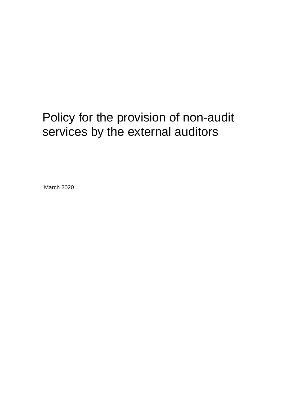# Policy for the provision of non-audit services by the external auditors

March 2020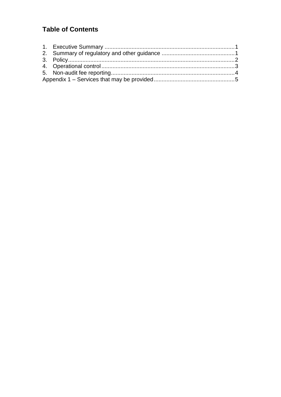# **Table of Contents**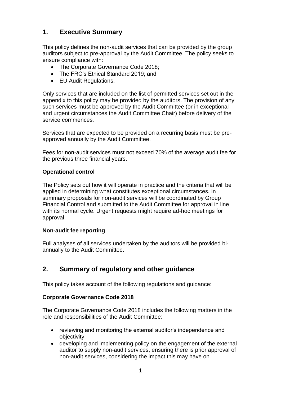## <span id="page-2-0"></span>**1. Executive Summary**

This policy defines the non-audit services that can be provided by the group auditors subject to pre-approval by the Audit Committee. The policy seeks to ensure compliance with:

- The Corporate Governance Code 2018;
- The FRC's Ethical Standard 2019; and
- EU Audit Regulations.

Only services that are included on the list of permitted services set out in the appendix to this policy may be provided by the auditors. The provision of any such services must be approved by the Audit Committee (or in exceptional and urgent circumstances the Audit Committee Chair) before delivery of the service commences.

Services that are expected to be provided on a recurring basis must be preapproved annually by the Audit Committee.

Fees for non-audit services must not exceed 70% of the average audit fee for the previous three financial years.

#### **Operational control**

The Policy sets out how it will operate in practice and the criteria that will be applied in determining what constitutes exceptional circumstances. In summary proposals for non-audit services will be coordinated by Group Financial Control and submitted to the Audit Committee for approval in line with its normal cycle. Urgent requests might require ad-hoc meetings for approval.

#### **Non-audit fee reporting**

Full analyses of all services undertaken by the auditors will be provided biannually to the Audit Committee.

## <span id="page-2-1"></span>**2. Summary of regulatory and other guidance**

This policy takes account of the following regulations and guidance:

#### **Corporate Governance Code 2018**

The Corporate Governance Code 2018 includes the following matters in the role and responsibilities of the Audit Committee:

- reviewing and monitoring the external auditor's independence and objectivity;
- developing and implementing policy on the engagement of the external auditor to supply non-audit services, ensuring there is prior approval of non-audit services, considering the impact this may have on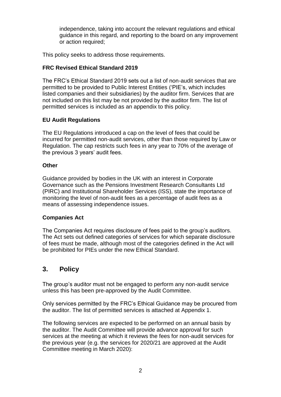independence, taking into account the relevant regulations and ethical guidance in this regard, and reporting to the board on any improvement or action required;

This policy seeks to address those requirements.

### **FRC Revised Ethical Standard 2019**

The FRC's Ethical Standard 2019 sets out a list of non-audit services that are permitted to be provided to Public Interest Entities ('PIE's, which includes listed companies and their subsidiaries) by the auditor firm. Services that are not included on this list may be not provided by the auditor firm. The list of permitted services is included as an appendix to this policy.

## **EU Audit Regulations**

The EU Regulations introduced a cap on the level of fees that could be incurred for permitted non-audit services, other than those required by Law or Regulation. The cap restricts such fees in any year to 70% of the average of the previous 3 years' audit fees.

#### **Other**

Guidance provided by bodies in the UK with an interest in Corporate Governance such as the Pensions Investment Research Consultants Ltd (PIRC) and Institutional Shareholder Services (ISS), state the importance of monitoring the level of non-audit fees as a percentage of audit fees as a means of assessing independence issues.

#### **Companies Act**

The Companies Act requires disclosure of fees paid to the group's auditors. The Act sets out defined categories of services for which separate disclosure of fees must be made, although most of the categories defined in the Act will be prohibited for PIEs under the new Ethical Standard.

## <span id="page-3-0"></span>**3. Policy**

The group's auditor must not be engaged to perform any non-audit service unless this has been pre-approved by the Audit Committee.

Only services permitted by the FRC's Ethical Guidance may be procured from the auditor. The list of permitted services is attached at Appendix 1.

The following services are expected to be performed on an annual basis by the auditor. The Audit Committee will provide advance approval for such services at the meeting at which it reviews the fees for non-audit services for the previous year (e.g. the services for 2020/21 are approved at the Audit Committee meeting in March 2020):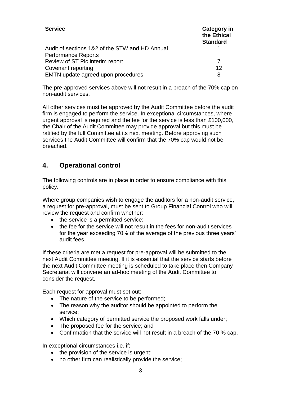| <b>Service</b>                                 | <b>Category in</b><br>the Ethical<br><b>Standard</b> |
|------------------------------------------------|------------------------------------------------------|
| Audit of sections 1&2 of the STW and HD Annual |                                                      |
| <b>Performance Reports</b>                     |                                                      |
| Review of ST Plc interim report                |                                                      |
| Covenant reporting                             | 12                                                   |
| EMTN update agreed upon procedures             | 8                                                    |

The pre-approved services above will not result in a breach of the 70% cap on non-audit services.

All other services must be approved by the Audit Committee before the audit firm is engaged to perform the service. In exceptional circumstances, where urgent approval is required and the fee for the service is less than £100,000, the Chair of the Audit Committee may provide approval but this must be ratified by the full Committee at its next meeting. Before approving such services the Audit Committee will confirm that the 70% cap would not be breached.

## <span id="page-4-0"></span>**4. Operational control**

The following controls are in place in order to ensure compliance with this policy.

Where group companies wish to engage the auditors for a non-audit service, a request for pre-approval, must be sent to Group Financial Control who will review the request and confirm whether:

- the service is a permitted service:
- the fee for the service will not result in the fees for non-audit services for the year exceeding 70% of the average of the previous three years' audit fees.

If these criteria are met a request for pre-approval will be submitted to the next Audit Committee meeting. If it is essential that the service starts before the next Audit Committee meeting is scheduled to take place then Company Secretariat will convene an ad-hoc meeting of the Audit Committee to consider the request.

Each request for approval must set out:

- The nature of the service to be performed;
- The reason why the auditor should be appointed to perform the service;
- Which category of permitted service the proposed work falls under;
- The proposed fee for the service; and
- Confirmation that the service will not result in a breach of the 70 % cap.

In exceptional circumstances i.e. if:

- the provision of the service is urgent;
- no other firm can realistically provide the service;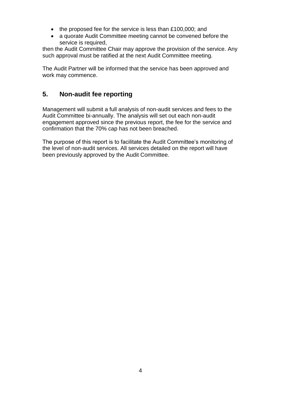- the proposed fee for the service is less than £100,000; and
- a quorate Audit Committee meeting cannot be convened before the service is required,

then the Audit Committee Chair may approve the provision of the service. Any such approval must be ratified at the next Audit Committee meeting.

The Audit Partner will be informed that the service has been approved and work may commence.

## <span id="page-5-0"></span>**5. Non-audit fee reporting**

Management will submit a full analysis of non-audit services and fees to the Audit Committee bi-annually. The analysis will set out each non-audit engagement approved since the previous report, the fee for the service and confirmation that the 70% cap has not been breached.

The purpose of this report is to facilitate the Audit Committee's monitoring of the level of non-audit services. All services detailed on the report will have been previously approved by the Audit Committee.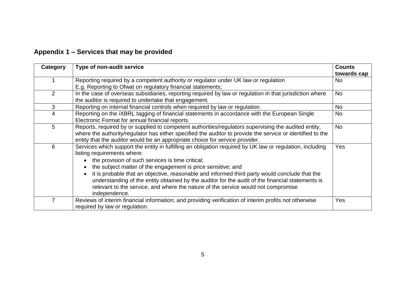|  |  | Appendix 1 - Services that may be provided |  |  |  |  |
|--|--|--------------------------------------------|--|--|--|--|
|--|--|--------------------------------------------|--|--|--|--|

<span id="page-6-0"></span>

| Category | Type of non-audit service                                                                                                                                                                                                                                                                                                                                                                                                                                                                                                                                                                                      | <b>Counts</b><br>towards cap |
|----------|----------------------------------------------------------------------------------------------------------------------------------------------------------------------------------------------------------------------------------------------------------------------------------------------------------------------------------------------------------------------------------------------------------------------------------------------------------------------------------------------------------------------------------------------------------------------------------------------------------------|------------------------------|
|          | Reporting required by a competent authority or regulator under UK law or regulation<br>E.g. Reporting to Ofwat on regulatory financial statements;                                                                                                                                                                                                                                                                                                                                                                                                                                                             | No                           |
| 2        | In the case of overseas subsidiaries, reporting required by law or regulation in that jurisdiction where<br>the auditor is required to undertake that engagement.                                                                                                                                                                                                                                                                                                                                                                                                                                              | <b>No</b>                    |
| 3        | Reporting on internal financial controls when required by law or regulation.                                                                                                                                                                                                                                                                                                                                                                                                                                                                                                                                   | No                           |
| 4        | Reporting on the iXBRL tagging of financial statements in accordance with the European Single<br>Electronic Format for annual financial reports.                                                                                                                                                                                                                                                                                                                                                                                                                                                               | <b>No</b>                    |
| 5        | Reports, required by or supplied to competent authorities/regulators supervising the audited entity,<br>where the authority/regulator has either specified the auditor to provide the service or identified to the<br>entity that the auditor would be an appropriate choice for service provider.                                                                                                                                                                                                                                                                                                             | No                           |
| 6        | Services which support the entity in fulfilling an obligation required by UK law or regulation, including<br>listing requirements where:<br>the provision of such services is time critical;<br>$\bullet$<br>the subject matter of the engagement is price sensitive; and<br>$\bullet$<br>it is probable that an objective, reasonable and informed third party would conclude that the<br>$\bullet$<br>understanding of the entity obtained by the auditor for the audit of the financial statements is<br>relevant to the service, and where the nature of the service would not compromise<br>independence. | <b>Yes</b>                   |
| 7        | Reviews of interim financial information; and providing verification of interim profits not otherwise<br>required by law or regulation.                                                                                                                                                                                                                                                                                                                                                                                                                                                                        | Yes                          |